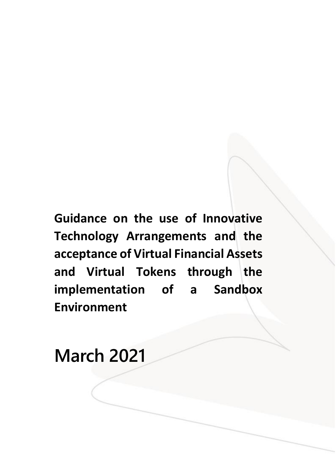**Guidance on the use of Innovative Technology Arrangements and the acceptance of Virtual Financial Assets**  and Virtual Tokens through the **implementation of a Sandbox Environment**

**March 2021**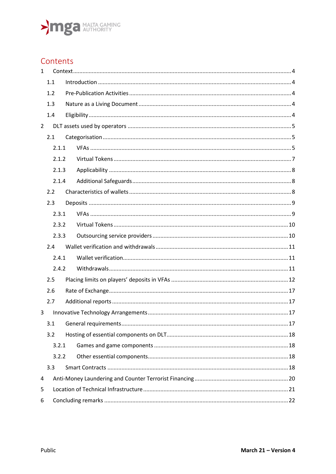

### Contents

| $\mathbf{1}$   |     |       |  |  |  |  |  |
|----------------|-----|-------|--|--|--|--|--|
|                | 1.1 |       |  |  |  |  |  |
|                | 1.2 |       |  |  |  |  |  |
|                | 1.3 |       |  |  |  |  |  |
|                | 1.4 |       |  |  |  |  |  |
| $\overline{2}$ |     |       |  |  |  |  |  |
|                | 2.1 |       |  |  |  |  |  |
|                |     | 2.1.1 |  |  |  |  |  |
|                |     | 2.1.2 |  |  |  |  |  |
|                |     | 2.1.3 |  |  |  |  |  |
|                |     | 2.1.4 |  |  |  |  |  |
|                | 2.2 |       |  |  |  |  |  |
|                | 2.3 |       |  |  |  |  |  |
|                |     | 2.3.1 |  |  |  |  |  |
|                |     | 2.3.2 |  |  |  |  |  |
|                |     | 2.3.3 |  |  |  |  |  |
|                | 2.4 |       |  |  |  |  |  |
|                |     | 2.4.1 |  |  |  |  |  |
|                |     | 2.4.2 |  |  |  |  |  |
|                | 2.5 |       |  |  |  |  |  |
|                | 2.6 |       |  |  |  |  |  |
|                | 2.7 |       |  |  |  |  |  |
| 3              |     |       |  |  |  |  |  |
|                | 3.1 |       |  |  |  |  |  |
|                | 3.2 |       |  |  |  |  |  |
|                |     | 3.2.1 |  |  |  |  |  |
|                |     | 3.2.2 |  |  |  |  |  |
|                | 3.3 |       |  |  |  |  |  |
| 4              |     |       |  |  |  |  |  |
| 5              |     |       |  |  |  |  |  |
| 6              |     |       |  |  |  |  |  |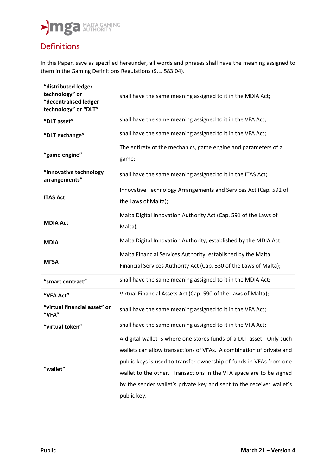### Definitions

In this Paper, save as specified hereunder, all words and phrases shall have the meaning assigned to them in the Gaming Definitions Regulations (S.L. 583.04).

| "distributed ledger<br>technology" or<br>"decentralised ledger<br>technology" or "DLT" | shall have the same meaning assigned to it in the MDIA Act;                                                                                                                                                                                                                                                                                                                       |  |  |
|----------------------------------------------------------------------------------------|-----------------------------------------------------------------------------------------------------------------------------------------------------------------------------------------------------------------------------------------------------------------------------------------------------------------------------------------------------------------------------------|--|--|
| "DLT asset"                                                                            | shall have the same meaning assigned to it in the VFA Act;                                                                                                                                                                                                                                                                                                                        |  |  |
| "DLT exchange"                                                                         | shall have the same meaning assigned to it in the VFA Act;                                                                                                                                                                                                                                                                                                                        |  |  |
| "game engine"                                                                          | The entirety of the mechanics, game engine and parameters of a<br>game;                                                                                                                                                                                                                                                                                                           |  |  |
| "innovative technology<br>arrangements"                                                | shall have the same meaning assigned to it in the ITAS Act;                                                                                                                                                                                                                                                                                                                       |  |  |
| <b>ITAS Act</b>                                                                        | Innovative Technology Arrangements and Services Act (Cap. 592 of<br>the Laws of Malta);                                                                                                                                                                                                                                                                                           |  |  |
| <b>MDIA Act</b>                                                                        | Malta Digital Innovation Authority Act (Cap. 591 of the Laws of<br>Malta);                                                                                                                                                                                                                                                                                                        |  |  |
| <b>MDIA</b>                                                                            | Malta Digital Innovation Authority, established by the MDIA Act;                                                                                                                                                                                                                                                                                                                  |  |  |
| <b>MFSA</b>                                                                            | Malta Financial Services Authority, established by the Malta<br>Financial Services Authority Act (Cap. 330 of the Laws of Malta);                                                                                                                                                                                                                                                 |  |  |
| "smart contract"                                                                       | shall have the same meaning assigned to it in the MDIA Act;                                                                                                                                                                                                                                                                                                                       |  |  |
| "VFA Act"                                                                              | Virtual Financial Assets Act (Cap. 590 of the Laws of Malta);                                                                                                                                                                                                                                                                                                                     |  |  |
| "virtual financial asset" or<br>"VFA"                                                  | shall have the same meaning assigned to it in the VFA Act;                                                                                                                                                                                                                                                                                                                        |  |  |
| "virtual token"                                                                        | shall have the same meaning assigned to it in the VFA Act;                                                                                                                                                                                                                                                                                                                        |  |  |
| "wallet"                                                                               | A digital wallet is where one stores funds of a DLT asset. Only such<br>wallets can allow transactions of VFAs. A combination of private and<br>public keys is used to transfer ownership of funds in VFAs from one<br>wallet to the other. Transactions in the VFA space are to be signed<br>by the sender wallet's private key and sent to the receiver wallet's<br>public key. |  |  |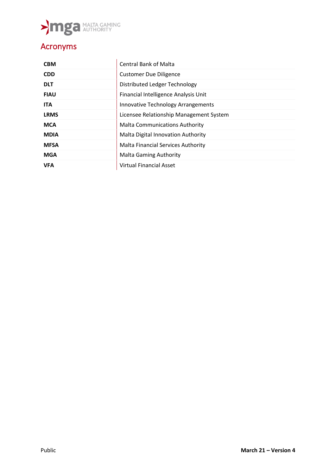

## Acronyms

| <b>CBM</b>  | <b>Central Bank of Malta</b>              |
|-------------|-------------------------------------------|
| <b>CDD</b>  | <b>Customer Due Diligence</b>             |
| <b>DLT</b>  | Distributed Ledger Technology             |
| <b>FIAU</b> | Financial Intelligence Analysis Unit      |
| <b>ITA</b>  | <b>Innovative Technology Arrangements</b> |
| <b>LRMS</b> | Licensee Relationship Management System   |
| <b>MCA</b>  | <b>Malta Communications Authority</b>     |
| <b>MDIA</b> | <b>Malta Digital Innovation Authority</b> |
| <b>MFSA</b> | <b>Malta Financial Services Authority</b> |
| <b>MGA</b>  | <b>Malta Gaming Authority</b>             |
| <b>VFA</b>  | <b>Virtual Financial Asset</b>            |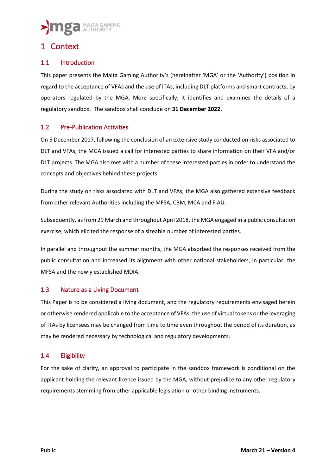### <span id="page-4-0"></span>1 Context

#### <span id="page-4-1"></span>1.1 Introduction

This paper presents the Malta Gaming Authority's (hereinafter 'MGA' or the 'Authority') position in regard to the acceptance of VFAs and the use of ITAs, including DLT platforms and smart contracts, by operators regulated by the MGA. More specifically, it identifies and examines the details of a regulatory sandbox. The sandbox shall conclude on **31 December 2022.**

#### <span id="page-4-2"></span>1.2 Pre-Publication Activities

On 5 December 2017, following the conclusion of an extensive study conducted on risks associated to DLT and VFAs, the MGA issued a call for interested parties to share information on their VFA and/or DLT projects. The MGA also met with a number of these interested parties in order to understand the concepts and objectives behind these projects.

During the study on risks associated with DLT and VFAs, the MGA also gathered extensive feedback from other relevant Authorities including the MFSA, CBM, MCA and FIAU.

Subsequently, as from 29 March and throughout April 2018, the MGA engaged in a public consultation exercise, which elicited the response of a sizeable number of interested parties.

In parallel and throughout the summer months, the MGA absorbed the responses received from the public consultation and increased its alignment with other national stakeholders, in particular, the MFSA and the newly established MDIA.

#### <span id="page-4-3"></span>1.3 Nature as a Living Document

This Paper is to be considered a living document, and the regulatory requirements envisaged herein or otherwise rendered applicable to the acceptance of VFAs, the use of virtual tokens or the leveraging of ITAs by licensees may be changed from time to time even throughout the period of its duration, as may be rendered necessary by technological and regulatory developments.

#### <span id="page-4-4"></span>1.4 Eligibility

For the sake of clarity, an approval to participate in the sandbox framework is conditional on the applicant holding the relevant licence issued by the MGA, without prejudice to any other regulatory requirements stemming from other applicable legislation or other binding instruments.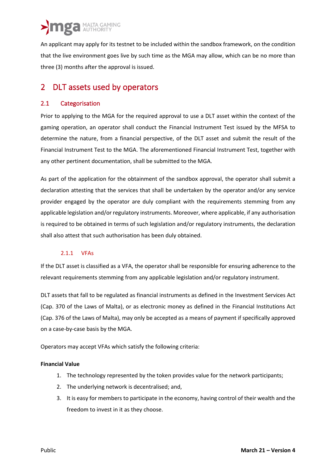An applicant may apply for its testnet to be included within the sandbox framework, on the condition that the live environment goes live by such time as the MGA may allow, which can be no more than three (3) months after the approval is issued.

### <span id="page-5-0"></span>2 DLT assets used by operators

#### <span id="page-5-1"></span>2.1 Categorisation

Prior to applying to the MGA for the required approval to use a DLT asset within the context of the gaming operation, an operator shall conduct the Financial Instrument Test issued by the MFSA to determine the nature, from a financial perspective, of the DLT asset and submit the result of the Financial Instrument Test to the MGA. The aforementioned Financial Instrument Test, together with any other pertinent documentation, shall be submitted to the MGA.

As part of the application for the obtainment of the sandbox approval, the operator shall submit a declaration attesting that the services that shall be undertaken by the operator and/or any service provider engaged by the operator are duly compliant with the requirements stemming from any applicable legislation and/or regulatory instruments. Moreover, where applicable, if any authorisation is required to be obtained in terms of such legislation and/or regulatory instruments, the declaration shall also attest that such authorisation has been duly obtained.

#### 2.1.1 VFAs

<span id="page-5-2"></span>If the DLT asset is classified as a VFA, the operator shall be responsible for ensuring adherence to the relevant requirements stemming from any applicable legislation and/or regulatory instrument.

DLT assets that fall to be regulated as financial instruments as defined in the Investment Services Act (Cap. 370 of the Laws of Malta), or as electronic money as defined in the Financial Institutions Act (Cap. 376 of the Laws of Malta), may only be accepted as a means of payment if specifically approved on a case-by-case basis by the MGA.

Operators may accept VFAs which satisfy the following criteria:

#### **Financial Value**

- 1. The technology represented by the token provides value for the network participants;
- 2. The underlying network is decentralised; and,
- 3. It is easy for members to participate in the economy, having control of their wealth and the freedom to invest in it as they choose.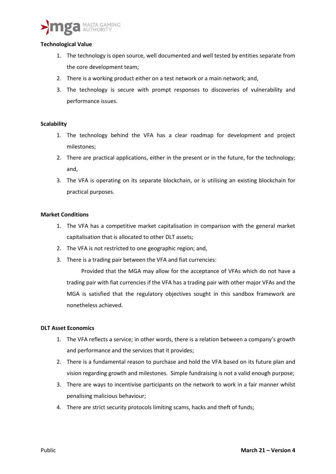

#### **Technological Value**

- 1. The technology is open source, well documented and well tested by entities separate from the core development team;
- 2. There is a working product either on a test network or a main network; and,
- 3. The technology is secure with prompt responses to discoveries of vulnerability and performance issues.

#### **Scalability**

- 1. The technology behind the VFA has a clear roadmap for development and project milestones;
- 2. There are practical applications, either in the present or in the future, for the technology; and,
- 3. The VFA is operating on its separate blockchain, or is utilising an existing blockchain for practical purposes.

#### **Market Conditions**

- 1. The VFA has a competitive market capitalisation in comparison with the general market capitalisation that is allocated to other DLT assets;
- 2. The VFA is not restricted to one geographic region; and,
- 3. There is a trading pair between the VFA and fiat currencies:

Provided that the MGA may allow for the acceptance of VFAs which do not have a trading pair with fiat currencies if the VFA has a trading pair with other major VFAs and the MGA is satisfied that the regulatory objectives sought in this sandbox framework are nonetheless achieved.

#### **DLT Asset Economics**

- 1. The VFA reflects a service; in other words, there is a relation between a company's growth and performance and the services that it provides;
- 2. There is a fundamental reason to purchase and hold the VFA based on its future plan and vision regarding growth and milestones. Simple fundraising is not a valid enough purpose;
- 3. There are ways to incentivise participants on the network to work in a fair manner whilst penalising malicious behaviour;
- 4. There are strict security protocols limiting scams, hacks and theft of funds;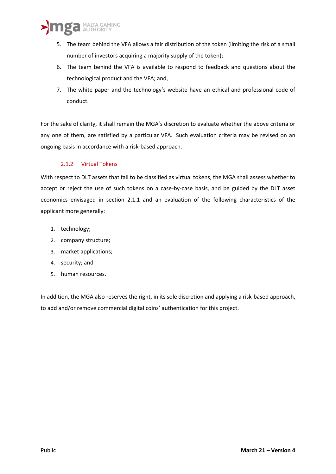

- 5. The team behind the VFA allows a fair distribution of the token (limiting the risk of a small number of investors acquiring a majority supply of the token);
- 6. The team behind the VFA is available to respond to feedback and questions about the technological product and the VFA; and,
- 7. The white paper and the technology's website have an ethical and professional code of conduct.

For the sake of clarity, it shall remain the MGA's discretion to evaluate whether the above criteria or any one of them, are satisfied by a particular VFA. Such evaluation criteria may be revised on an ongoing basis in accordance with a risk-based approach.

#### 2.1.2 Virtual Tokens

<span id="page-7-0"></span>With respect to DLT assets that fall to be classified as virtual tokens, the MGA shall assess whether to accept or reject the use of such tokens on a case-by-case basis, and be guided by the DLT asset economics envisaged in section 2.1.1 and an evaluation of the following characteristics of the applicant more generally:

- 1. technology;
- 2. company structure;
- 3. market applications;
- 4. security; and
- 5. human resources.

In addition, the MGA also reserves the right, in its sole discretion and applying a risk-based approach, to add and/or remove commercial digital coins' authentication for this project.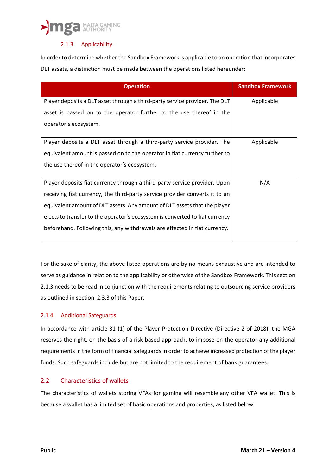#### 2.1.3 Applicability

<span id="page-8-0"></span>In order to determine whether the Sandbox Framework is applicable to an operation that incorporates DLT assets, a distinction must be made between the operations listed hereunder:

| <b>Operation</b>                                                             | <b>Sandbox Framework</b> |
|------------------------------------------------------------------------------|--------------------------|
| Player deposits a DLT asset through a third-party service provider. The DLT  | Applicable               |
| asset is passed on to the operator further to the use thereof in the         |                          |
| operator's ecosystem.                                                        |                          |
| Player deposits a DLT asset through a third-party service provider. The      | Applicable               |
| equivalent amount is passed on to the operator in fiat currency further to   |                          |
| the use thereof in the operator's ecosystem.                                 |                          |
| Player deposits fiat currency through a third-party service provider. Upon   | N/A                      |
| receiving fiat currency, the third-party service provider converts it to an  |                          |
| equivalent amount of DLT assets. Any amount of DLT assets that the player    |                          |
| elects to transfer to the operator's ecosystem is converted to fiat currency |                          |
| beforehand. Following this, any withdrawals are effected in fiat currency.   |                          |

For the sake of clarity, the above-listed operations are by no means exhaustive and are intended to serve as guidance in relation to the applicability or otherwise of the Sandbox Framework. This section 2.1.3 needs to be read in conjunction with the requirements relating to outsourcing service providers as outlined in section 2.3.3 of this Paper.

#### <span id="page-8-1"></span>2.1.4 Additional Safeguards

In accordance with article 31 (1) of the Player Protection Directive (Directive 2 of 2018), the MGA reserves the right, on the basis of a risk-based approach, to impose on the operator any additional requirements in the form of financial safeguards in order to achieve increased protection of the player funds. Such safeguards include but are not limited to the requirement of bank guarantees.

#### <span id="page-8-2"></span>2.2 Characteristics of wallets

The characteristics of wallets storing VFAs for gaming will resemble any other VFA wallet. This is because a wallet has a limited set of basic operations and properties, as listed below: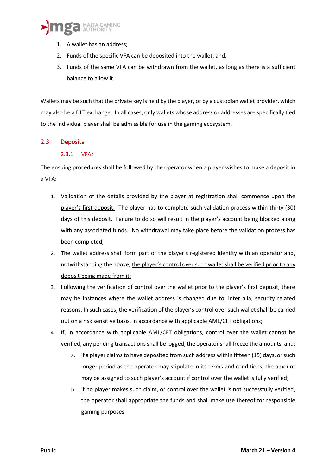- 1. A wallet has an address;
- 2. Funds of the specific VFA can be deposited into the wallet; and,
- 3. Funds of the same VFA can be withdrawn from the wallet, as long as there is a sufficient balance to allow it.

Wallets may be such that the private key is held by the player, or by a custodian wallet provider, which may also be a DLT exchange. In all cases, only wallets whose address or addresses are specifically tied to the individual player shall be admissible for use in the gaming ecosystem.

#### <span id="page-9-1"></span><span id="page-9-0"></span>2.3 Deposits

#### 2.3.1 VFAs

The ensuing procedures shall be followed by the operator when a player wishes to make a deposit in a VFA:

- 1. Validation of the details provided by the player at registration shall commence upon the player's first deposit. The player has to complete such validation process within thirty (30) days of this deposit. Failure to do so will result in the player's account being blocked along with any associated funds. No withdrawal may take place before the validation process has been completed;
- 2. The wallet address shall form part of the player's registered identity with an operator and, notwithstanding the above, the player's control over such wallet shall be verified prior to any deposit being made from it;
- 3. Following the verification of control over the wallet prior to the player's first deposit, there may be instances where the wallet address is changed due to, inter alia, security related reasons. In such cases, the verification of the player's control over such wallet shall be carried out on a risk sensitive basis, in accordance with applicable AML/CFT obligations;
- 4. If, in accordance with applicable AML/CFT obligations, control over the wallet cannot be verified, any pending transactions shall be logged, the operator shall freeze the amounts, and:
	- a. if a player claims to have deposited from such address within fifteen (15) days, or such longer period as the operator may stipulate in its terms and conditions, the amount may be assigned to such player's account if control over the wallet is fully verified;
	- b. if no player makes such claim, or control over the wallet is not successfully verified, the operator shall appropriate the funds and shall make use thereof for responsible gaming purposes.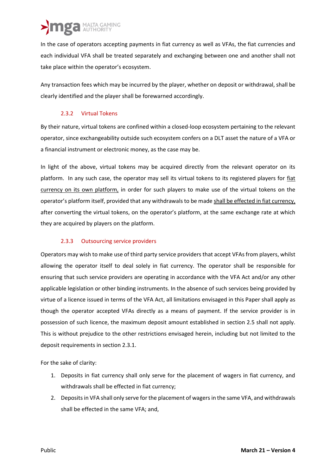In the case of operators accepting payments in fiat currency as well as VFAs, the fiat currencies and each individual VFA shall be treated separately and exchanging between one and another shall not take place within the operator's ecosystem.

Any transaction fees which may be incurred by the player, whether on deposit or withdrawal, shall be clearly identified and the player shall be forewarned accordingly.

#### 2.3.2 Virtual Tokens

<span id="page-10-0"></span>By their nature, virtual tokens are confined within a closed-loop ecosystem pertaining to the relevant operator, since exchangeability outside such ecosystem confers on a DLT asset the nature of a VFA or a financial instrument or electronic money, as the case may be.

In light of the above, virtual tokens may be acquired directly from the relevant operator on its platform. In any such case, the operator may sell its virtual tokens to its registered players for fiat currency on its own platform, in order for such players to make use of the virtual tokens on the operator's platform itself, provided that any withdrawals to be made shall be effected in fiat currency, after converting the virtual tokens, on the operator's platform, at the same exchange rate at which they are acquired by players on the platform.

#### 2.3.3 Outsourcing service providers

<span id="page-10-1"></span>Operators may wish to make use of third party service providers that accept VFAs from players, whilst allowing the operator itself to deal solely in fiat currency. The operator shall be responsible for ensuring that such service providers are operating in accordance with the VFA Act and/or any other applicable legislation or other binding instruments. In the absence of such services being provided by virtue of a licence issued in terms of the VFA Act, all limitations envisaged in this Paper shall apply as though the operator accepted VFAs directly as a means of payment. If the service provider is in possession of such licence, the maximum deposit amount established in section 2.5 shall not apply. This is without prejudice to the other restrictions envisaged herein, including but not limited to the deposit requirements in section 2.3.1.

For the sake of clarity:

- 1. Deposits in fiat currency shall only serve for the placement of wagers in fiat currency, and withdrawals shall be effected in fiat currency;
- 2. Deposits in VFA shall only serve for the placement of wagers in the same VFA, and withdrawals shall be effected in the same VFA; and,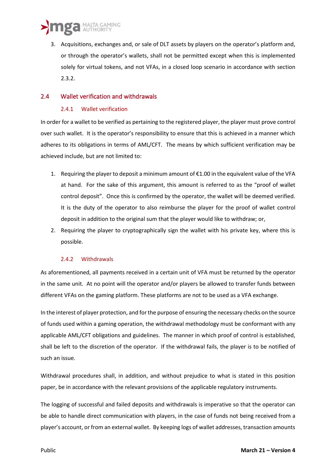3. Acquisitions, exchanges and, or sale of DLT assets by players on the operator's platform and, or through the operator's wallets, shall not be permitted except when this is implemented solely for virtual tokens, and not VFAs, in a closed loop scenario in accordance with section 2.3.2.

#### <span id="page-11-1"></span><span id="page-11-0"></span>2.4 Wallet verification and withdrawals

#### 2.4.1 Wallet verification

In order for a wallet to be verified as pertaining to the registered player, the player must prove control over such wallet. It is the operator's responsibility to ensure that this is achieved in a manner which adheres to its obligations in terms of AML/CFT. The means by which sufficient verification may be achieved include, but are not limited to:

- 1. Requiring the player to deposit a minimum amount of  $\epsilon$ 1.00 in the equivalent value of the VFA at hand. For the sake of this argument, this amount is referred to as the "proof of wallet control deposit". Once this is confirmed by the operator, the wallet will be deemed verified. It is the duty of the operator to also reimburse the player for the proof of wallet control deposit in addition to the original sum that the player would like to withdraw; or,
- 2. Requiring the player to cryptographically sign the wallet with his private key, where this is possible.

#### 2.4.2 Withdrawals

<span id="page-11-2"></span>As aforementioned, all payments received in a certain unit of VFA must be returned by the operator in the same unit. At no point will the operator and/or players be allowed to transfer funds between different VFAs on the gaming platform. These platforms are not to be used as a VFA exchange.

In the interest of player protection, and for the purpose of ensuring the necessary checks on the source of funds used within a gaming operation, the withdrawal methodology must be conformant with any applicable AML/CFT obligations and guidelines. The manner in which proof of control is established, shall be left to the discretion of the operator. If the withdrawal fails, the player is to be notified of such an issue.

Withdrawal procedures shall, in addition, and without prejudice to what is stated in this position paper, be in accordance with the relevant provisions of the applicable regulatory instruments.

The logging of successful and failed deposits and withdrawals is imperative so that the operator can be able to handle direct communication with players, in the case of funds not being received from a player's account, or from an external wallet. By keeping logs of wallet addresses, transaction amounts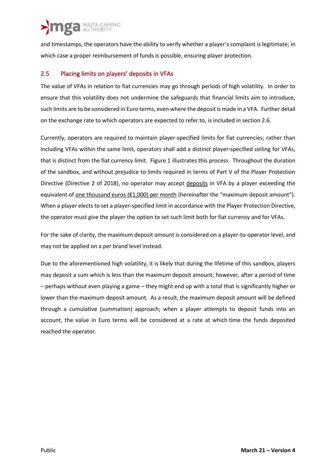and timestamps, the operators have the ability to verify whether a player's complaint is legitimate; in which case a proper reimbursement of funds is possible, ensuring player protection.

#### <span id="page-12-0"></span>2.5 Placing limits on players' deposits in VFAs

The value of VFAs in relation to fiat currencies may go through periods of high volatility. In order to ensure that this volatility does not undermine the safeguards that financial limits aim to introduce, such limits are to be considered in Euro terms, even where the deposit is made in a VFA. Further detail on the exchange rate to which operators are expected to refer to, is included in section 2.6.

Currently, operators are required to maintain player-specified limits for fiat currencies; rather than including VFAs within the same limit, operators shall add a distinct player-specified ceiling for VFAs, that is distinct from the fiat currency limit. [Figure 1](#page-13-0) illustrates this process. Throughout the duration of the sandbox, and without prejudice to limits required in terms of Part V of the Player Protection Directive (Directive 2 of 2018), no operator may accept deposits in VFA by a player exceeding the equivalent of <u>one thousand euros (€1,000)</u> per month (hereinafter the "maximum deposit amount"). When a player elects to set a player-specified limit in accordance with the Player Protection Directive, the operator must give the player the option to set such limit both for fiat currency and for VFAs.

For the sake of clarity, the maximum deposit amount is considered on a player-to-operator level, and may not be applied on a per brand level instead.

Due to the aforementioned high volatility, it is likely that during the lifetime of this sandbox, players may deposit a sum which is less than the maximum deposit amount; however, after a period of time – perhaps without even playing a game – they might end up with a total that is significantly higher or lower than the maximum deposit amount. As a result, the maximum deposit amount will be defined through a cumulative (summation) approach; when a player attempts to deposit funds into an account, the value in Euro terms will be considered at a rate at which time the funds deposited reached the operator.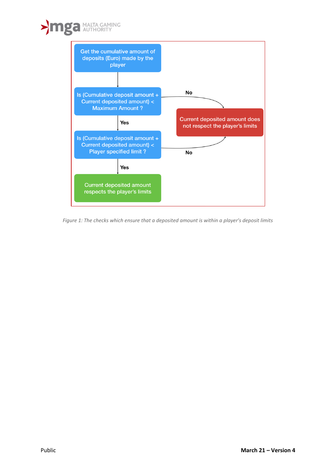

<span id="page-13-0"></span>*Figure 1: The checks which ensure that a deposited amount is within a player's deposit limits*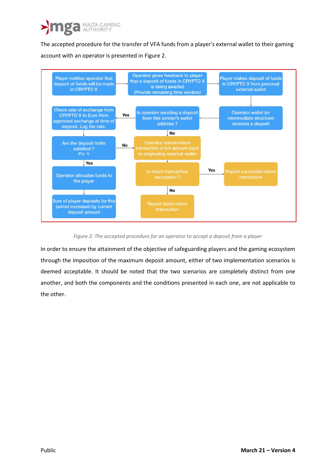The accepted procedure for the transfer of VFA funds from a player's external wallet to their gaming account with an operator is presented in [Figure 2.](#page-14-0)



#### *Figure 2: The accepted procedure for an operator to accept a deposit from a player*

<span id="page-14-0"></span>In order to ensure the attainment of the objective of safeguarding players and the gaming ecosystem through the imposition of the maximum deposit amount, either of two implementation scenarios is deemed acceptable. It should be noted that the two scenarios are completely distinct from one another, and both the components and the conditions presented in each one, are not applicable to the other.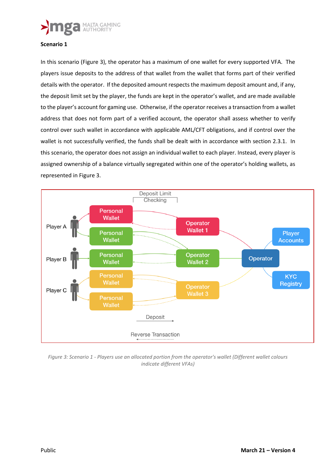

#### **Scenario 1**

In this scenario [\(Figure 3\)](#page-15-0), the operator has a maximum of one wallet for every supported VFA. The players issue deposits to the address of that wallet from the wallet that forms part of their verified details with the operator. If the deposited amount respects the maximum deposit amount and, if any, the deposit limit set by the player, the funds are kept in the operator's wallet, and are made available to the player's account for gaming use. Otherwise, if the operator receives a transaction from a wallet address that does not form part of a verified account, the operator shall assess whether to verify control over such wallet in accordance with applicable AML/CFT obligations, and if control over the wallet is not successfully verified, the funds shall be dealt with in accordance with section 2.3.1. In this scenario, the operator does not assign an individual wallet to each player. Instead, every player is assigned ownership of a balance virtually segregated within one of the operator's holding wallets, as represented in [Figure 3.](#page-15-0)



<span id="page-15-0"></span>*Figure 3: Scenario 1 - Players use an allocated portion from the operator's wallet (Different wallet colours indicate different VFAs)*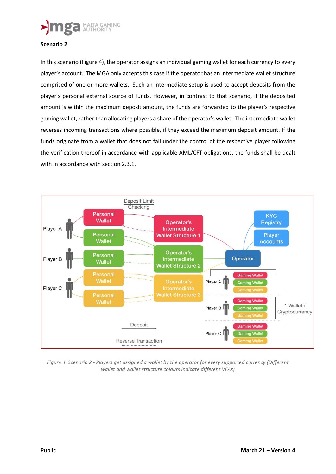

#### **Scenario 2**

In this scenario [\(Figure 4\)](#page-16-0), the operator assigns an individual gaming wallet for each currency to every player's account. The MGA only accepts this case if the operator has an intermediate wallet structure comprised of one or more wallets. Such an intermediate setup is used to accept deposits from the player's personal external source of funds. However, in contrast to that scenario, if the deposited amount is within the maximum deposit amount, the funds are forwarded to the player's respective gaming wallet, rather than allocating players a share of the operator's wallet. The intermediate wallet reverses incoming transactions where possible, if they exceed the maximum deposit amount. If the funds originate from a wallet that does not fall under the control of the respective player following the verification thereof in accordance with applicable AML/CFT obligations, the funds shall be dealt with in accordance with section 2.3.1.



<span id="page-16-0"></span>*Figure 4: Scenario 2 - Players get assigned a wallet by the operator for every supported currency (Different wallet and wallet structure colours indicate different VFAs)*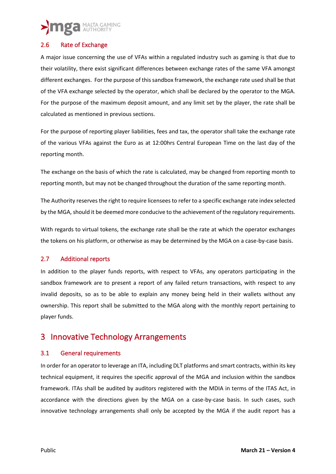#### <span id="page-17-0"></span>2.6 Rate of Exchange

A major issue concerning the use of VFAs within a regulated industry such as gaming is that due to their volatility, there exist significant differences between exchange rates of the same VFA amongst different exchanges. For the purpose of this sandbox framework, the exchange rate used shall be that of the VFA exchange selected by the operator, which shall be declared by the operator to the MGA. For the purpose of the maximum deposit amount, and any limit set by the player, the rate shall be calculated as mentioned in previous sections.

For the purpose of reporting player liabilities, fees and tax, the operator shall take the exchange rate of the various VFAs against the Euro as at 12:00hrs Central European Time on the last day of the reporting month.

The exchange on the basis of which the rate is calculated, may be changed from reporting month to reporting month, but may not be changed throughout the duration of the same reporting month.

The Authority reserves the right to require licensees to refer to a specific exchange rate index selected by the MGA, should it be deemed more conducive to the achievement of the regulatory requirements.

With regards to virtual tokens, the exchange rate shall be the rate at which the operator exchanges the tokens on his platform, or otherwise as may be determined by the MGA on a case-by-case basis.

#### <span id="page-17-1"></span>2.7 Additional reports

In addition to the player funds reports, with respect to VFAs, any operators participating in the sandbox framework are to present a report of any failed return transactions, with respect to any invalid deposits, so as to be able to explain any money being held in their wallets without any ownership. This report shall be submitted to the MGA along with the monthly report pertaining to player funds.

### <span id="page-17-2"></span>3 Innovative Technology Arrangements

#### <span id="page-17-3"></span>3.1 General requirements

In order for an operator to leverage an ITA, including DLT platforms and smart contracts, within its key technical equipment, it requires the specific approval of the MGA and inclusion within the sandbox framework. ITAs shall be audited by auditors registered with the MDIA in terms of the ITAS Act, in accordance with the directions given by the MGA on a case-by-case basis. In such cases, such innovative technology arrangements shall only be accepted by the MGA if the audit report has a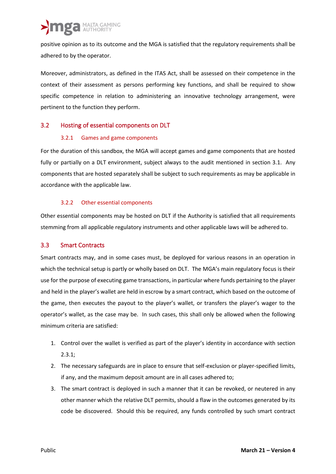positive opinion as to its outcome and the MGA is satisfied that the regulatory requirements shall be adhered to by the operator.

Moreover, administrators, as defined in the ITAS Act, shall be assessed on their competence in the context of their assessment as persons performing key functions, and shall be required to show specific competence in relation to administering an innovative technology arrangement, were pertinent to the function they perform.

#### <span id="page-18-1"></span><span id="page-18-0"></span>3.2 Hosting of essential components on DLT

#### 3.2.1 Games and game components

For the duration of this sandbox, the MGA will accept games and game components that are hosted fully or partially on a DLT environment, subject always to the audit mentioned in section 3.1. Any components that are hosted separately shall be subject to such requirements as may be applicable in accordance with the applicable law.

#### 3.2.2 Other essential components

<span id="page-18-2"></span>Other essential components may be hosted on DLT if the Authority is satisfied that all requirements stemming from all applicable regulatory instruments and other applicable laws will be adhered to.

#### <span id="page-18-3"></span>3.3 Smart Contracts

Smart contracts may, and in some cases must, be deployed for various reasons in an operation in which the technical setup is partly or wholly based on DLT. The MGA's main regulatory focus is their use for the purpose of executing game transactions, in particular where funds pertaining to the player and held in the player's wallet are held in escrow by a smart contract, which based on the outcome of the game, then executes the payout to the player's wallet, or transfers the player's wager to the operator's wallet, as the case may be. In such cases, this shall only be allowed when the following minimum criteria are satisfied:

- 1. Control over the wallet is verified as part of the player's identity in accordance with section  $2.3.1$ ;
- 2. The necessary safeguards are in place to ensure that self-exclusion or player-specified limits, if any, and the maximum deposit amount are in all cases adhered to;
- 3. The smart contract is deployed in such a manner that it can be revoked, or neutered in any other manner which the relative DLT permits, should a flaw in the outcomes generated by its code be discovered. Should this be required, any funds controlled by such smart contract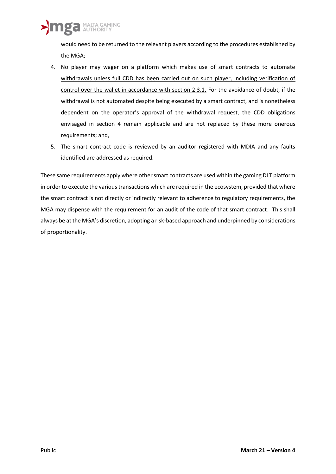would need to be returned to the relevant players according to the procedures established by the MGA;

- 4. No player may wager on a platform which makes use of smart contracts to automate withdrawals unless full CDD has been carried out on such player, including verification of control over the wallet in accordance with section 2.3.1. For the avoidance of doubt, if the withdrawal is not automated despite being executed by a smart contract, and is nonetheless dependent on the operator's approval of the withdrawal request, the CDD obligations envisaged in section 4 remain applicable and are not replaced by these more onerous requirements; and,
- 5. The smart contract code is reviewed by an auditor registered with MDIA and any faults identified are addressed as required.

These same requirements apply where other smart contracts are used within the gaming DLT platform in order to execute the various transactions which are required in the ecosystem, provided that where the smart contract is not directly or indirectly relevant to adherence to regulatory requirements, the MGA may dispense with the requirement for an audit of the code of that smart contract. This shall always be at the MGA's discretion, adopting a risk-based approach and underpinned by considerations of proportionality.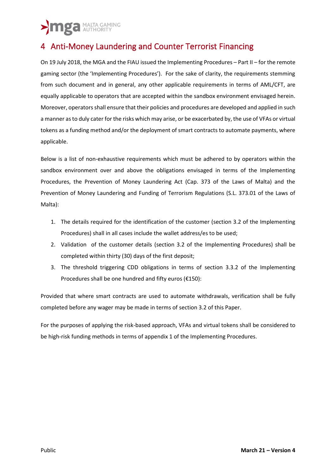## <span id="page-20-0"></span>4 Anti-Money Laundering and Counter Terrorist Financing

On 19 July 2018, the MGA and the FIAU issued the Implementing Procedures – Part II – for the remote gaming sector (the 'Implementing Procedures'). For the sake of clarity, the requirements stemming from such document and in general, any other applicable requirements in terms of AML/CFT, are equally applicable to operators that are accepted within the sandbox environment envisaged herein. Moreover, operators shall ensure that their policies and procedures are developed and applied in such a manner as to duly cater for the risks which may arise, or be exacerbated by, the use of VFAs or virtual tokens as a funding method and/or the deployment of smart contracts to automate payments, where applicable.

Below is a list of non-exhaustive requirements which must be adhered to by operators within the sandbox environment over and above the obligations envisaged in terms of the Implementing Procedures, the Prevention of Money Laundering Act (Cap. 373 of the Laws of Malta) and the Prevention of Money Laundering and Funding of Terrorism Regulations (S.L. 373.01 of the Laws of Malta):

- 1. The details required for the identification of the customer (section 3.2 of the Implementing Procedures) shall in all cases include the wallet address/es to be used;
- 2. Validation of the customer details (section 3.2 of the Implementing Procedures) shall be completed within thirty (30) days of the first deposit;
- 3. The threshold triggering CDD obligations in terms of section 3.3.2 of the Implementing Procedures shall be one hundred and fifty euros (€150):

Provided that where smart contracts are used to automate withdrawals, verification shall be fully completed before any wager may be made in terms of section 3.2 of this Paper.

For the purposes of applying the risk-based approach, VFAs and virtual tokens shall be considered to be high-risk funding methods in terms of appendix 1 of the Implementing Procedures.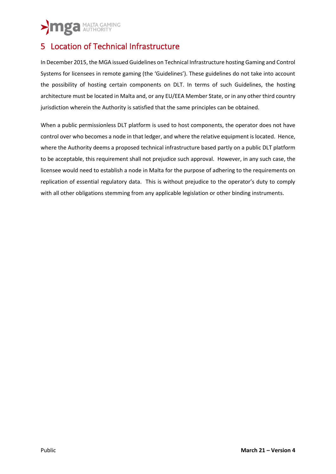## <span id="page-21-0"></span>5 Location of Technical Infrastructure

In December 2015, the MGA issued Guidelines on Technical Infrastructure hosting Gaming and Control Systems for licensees in remote gaming (the 'Guidelines'). These guidelines do not take into account the possibility of hosting certain components on DLT. In terms of such Guidelines, the hosting architecture must be located in Malta and, or any EU/EEA Member State, or in any other third country jurisdiction wherein the Authority is satisfied that the same principles can be obtained.

When a public permissionless DLT platform is used to host components, the operator does not have control over who becomes a node in that ledger, and where the relative equipment is located. Hence, where the Authority deems a proposed technical infrastructure based partly on a public DLT platform to be acceptable, this requirement shall not prejudice such approval. However, in any such case, the licensee would need to establish a node in Malta for the purpose of adhering to the requirements on replication of essential regulatory data. This is without prejudice to the operator's duty to comply with all other obligations stemming from any applicable legislation or other binding instruments.